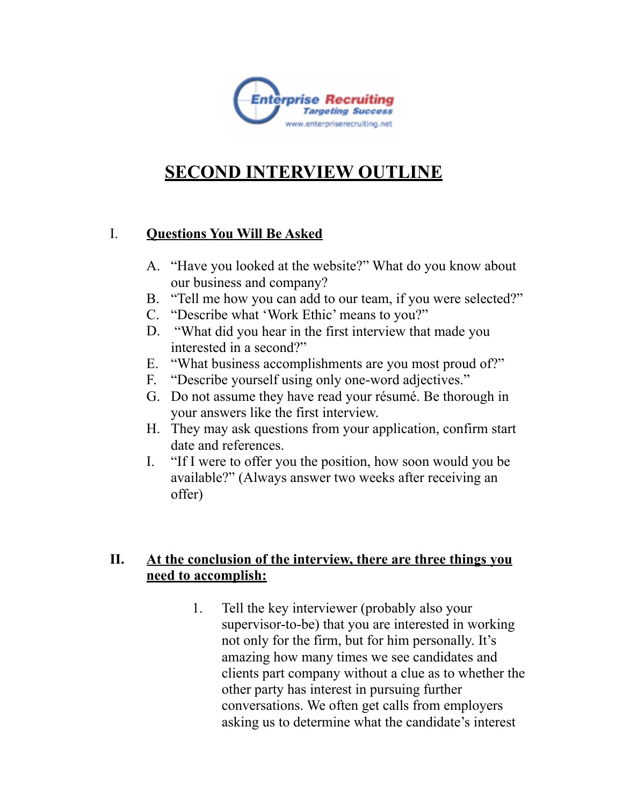

## **SECOND INTERVIEW OUTLINE**

## I. **Questions You Will Be Asked**

- A. "Have you looked at the website?" What do you know about our business and company?
- B. "Tell me how you can add to our team, if you were selected?"
- C. "Describe what 'Work Ethic' means to you?"
- D. "What did you hear in the first interview that made you interested in a second?"
- E. "What business accomplishments are you most proud of?"
- F. "Describe yourself using only one-word adjectives."
- G. Do not assume they have read your résumé. Be thorough in your answers like the first interview.
- H. They may ask questions from your application, confirm start date and references.
- I. "If I were to offer you the position, how soon would you be available?" (Always answer two weeks after receiving an offer)

## **II. At the conclusion of the interview, there are three things you need to accomplish:**

1. Tell the key interviewer (probably also your supervisor-to-be) that you are interested in working not only for the firm, but for him personally. It's amazing how many times we see candidates and clients part company without a clue as to whether the other party has interest in pursuing further conversations. We often get calls from employers asking us to determine what the candidate's interest